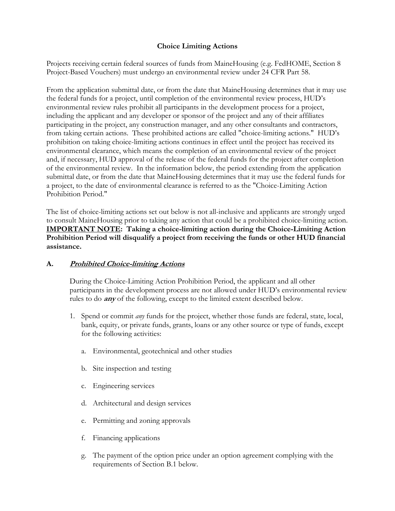# **Choice Limiting Actions**

Projects receiving certain federal sources of funds from MaineHousing (e.g. FedHOME, Section 8 Project-Based Vouchers) must undergo an environmental review under 24 CFR Part 58.

From the application submittal date, or from the date that MaineHousing determines that it may use the federal funds for a project, until completion of the environmental review process, HUD's environmental review rules prohibit all participants in the development process for a project, including the applicant and any developer or sponsor of the project and any of their affiliates participating in the project, any construction manager, and any other consultants and contractors, from taking certain actions. These prohibited actions are called "choice-limiting actions." HUD's prohibition on taking choice-limiting actions continues in effect until the project has received its environmental clearance, which means the completion of an environmental review of the project and, if necessary, HUD approval of the release of the federal funds for the project after completion of the environmental review. In the information below, the period extending from the application submittal date, or from the date that MaineHousing determines that it may use the federal funds for a project, to the date of environmental clearance is referred to as the "Choice-Limiting Action Prohibition Period."

The list of choice-limiting actions set out below is not all-inclusive and applicants are strongly urged to consult MaineHousing prior to taking any action that could be a prohibited choice-limiting action. **IMPORTANT NOTE: Taking a choice-limiting action during the Choice-Limiting Action Prohibition Period will disqualify a project from receiving the funds or other HUD financial assistance.** 

## **A. Prohibited Choice-limiting Actions**

During the Choice-Limiting Action Prohibition Period, the applicant and all other participants in the development process are not allowed under HUD's environmental review rules to do **any** of the following, except to the limited extent described below.

- 1. Spend or commit *any* funds for the project, whether those funds are federal, state, local, bank, equity, or private funds, grants, loans or any other source or type of funds, except for the following activities:
	- a. Environmental, geotechnical and other studies
	- b. Site inspection and testing
	- c. Engineering services
	- d. Architectural and design services
	- e. Permitting and zoning approvals
	- f. Financing applications
	- g. The payment of the option price under an option agreement complying with the requirements of Section B.1 below.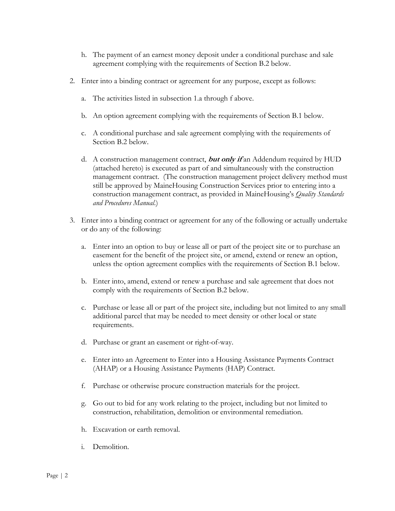- h. The payment of an earnest money deposit under a conditional purchase and sale agreement complying with the requirements of Section B.2 below.
- 2. Enter into a binding contract or agreement for any purpose, except as follows:
	- a. The activities listed in subsection 1.a through f above.
	- b. An option agreement complying with the requirements of Section B.1 below.
	- c. A conditional purchase and sale agreement complying with the requirements of Section B.2 below.
	- d. A construction management contract, **but only if** an Addendum required by HUD (attached hereto) is executed as part of and simultaneously with the construction management contract. (The construction management project delivery method must still be approved by MaineHousing Construction Services prior to entering into a construction management contract, as provided in MaineHousing's *Quality Standards and Procedures Manual*.)
- 3. Enter into a binding contract or agreement for any of the following or actually undertake or do any of the following:
	- a. Enter into an option to buy or lease all or part of the project site or to purchase an easement for the benefit of the project site, or amend, extend or renew an option, unless the option agreement complies with the requirements of Section B.1 below.
	- b. Enter into, amend, extend or renew a purchase and sale agreement that does not comply with the requirements of Section B.2 below.
	- c. Purchase or lease all or part of the project site, including but not limited to any small additional parcel that may be needed to meet density or other local or state requirements.
	- d. Purchase or grant an easement or right-of-way.
	- e. Enter into an Agreement to Enter into a Housing Assistance Payments Contract (AHAP) or a Housing Assistance Payments (HAP) Contract.
	- f. Purchase or otherwise procure construction materials for the project.
	- g. Go out to bid for any work relating to the project, including but not limited to construction, rehabilitation, demolition or environmental remediation.
	- h. Excavation or earth removal.
	- i. Demolition.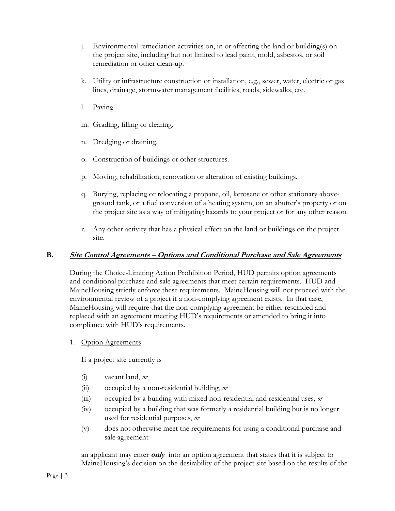- j. Environmental remediation activities on, in or affecting the land or building(s) on the project site, including but not limited to lead paint, mold, asbestos, or soil remediation or other clean-up.
- k. Utility or infrastructure construction or installation, e.g., sewer, water, electric or gas lines, drainage, stormwater management facilities, roads, sidewalks, etc.
- l. Paving.
- m. Grading, filling or clearing.
- n. Dredging or draining.
- o. Construction of buildings or other structures.
- p. Moving, rehabilitation, renovation or alteration of existing buildings.
- q. Burying, replacing or relocating a propane, oil, kerosene or other stationary aboveground tank, or a fuel conversion of a heating system, on an abutter's property or on the project site as a way of mitigating hazards to your project or for any other reason.
- r. Any other activity that has a physical effect on the land or buildings on the project site.

### **B. Site Control Agreements – Options and Conditional Purchase and Sale Agreements**

During the Choice-Limiting Action Prohibition Period, HUD permits option agreements and conditional purchase and sale agreements that meet certain requirements. HUD and MaineHousing strictly enforce these requirements. MaineHousing will not proceed with the environmental review of a project if a non-complying agreement exists. In that case, MaineHousing will require that the non-complying agreement be either rescinded and replaced with an agreement meeting HUD's requirements or amended to bring it into compliance with HUD's requirements.

1. Option Agreements

If a project site currently is

- (i) vacant land, *or*
- (ii) occupied by a non-residential building, *or*
- (iii) occupied by a building with mixed non-residential and residential uses, *or*
- (iv) occupied by a building that was formerly a residential building but is no longer used for residential purposes, *or*
- (v) does not otherwise meet the requirements for using a conditional purchase and sale agreement

an applicant may enter **only** into an option agreement that states that it is subject to MaineHousing's decision on the desirability of the project site based on the results of the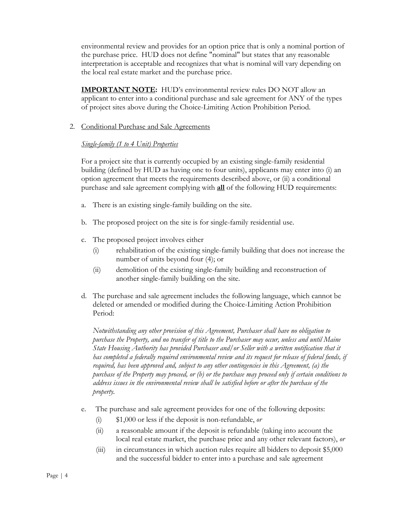environmental review and provides for an option price that is only a nominal portion of the purchase price. HUD does not define "nominal" but states that any reasonable interpretation is acceptable and recognizes that what is nominal will vary depending on the local real estate market and the purchase price.

**IMPORTANT NOTE:** HUD's environmental review rules DO NOT allow an applicant to enter into a conditional purchase and sale agreement for ANY of the types of project sites above during the Choice-Limiting Action Prohibition Period.

2. Conditional Purchase and Sale Agreements

## *Single-family (1 to 4 Unit) Properties*

For a project site that is currently occupied by an existing single-family residential building (defined by HUD as having one to four units), applicants may enter into (i) an option agreement that meets the requirements described above, or (ii) a conditional purchase and sale agreement complying with **all** of the following HUD requirements:

- a. There is an existing single-family building on the site.
- b. The proposed project on the site is for single-family residential use.
- c. The proposed project involves either
	- (i) rehabilitation of the existing single-family building that does not increase the number of units beyond four (4); or
	- (ii) demolition of the existing single-family building and reconstruction of another single-family building on the site.
- d. The purchase and sale agreement includes the following language, which cannot be deleted or amended or modified during the Choice-Limiting Action Prohibition Period:

 *Notwithstanding any other provision of this Agreement, Purchaser shall have no obligation to purchase the Property, and no transfer of title to the Purchaser may occur, unless and until Maine State Housing Authority has provided Purchaser and/or Seller with a written notification that it has completed a federally required environmental review and its request for release of federal funds, if required, has been approved and, subject to any other contingencies in this Agreement, (a) the purchase of the Property may proceed, or (b) or the purchase may proceed only if certain conditions to address issues in the environmental review shall be satisfied before or after the purchase of the property.*

- e. The purchase and sale agreement provides for one of the following deposits:
	- (i) \$1,000 or less if the deposit is non-refundable, *or*
	- (ii) a reasonable amount if the deposit is refundable (taking into account the local real estate market, the purchase price and any other relevant factors), *or*
	- (iii) in circumstances in which auction rules require all bidders to deposit \$5,000 and the successful bidder to enter into a purchase and sale agreement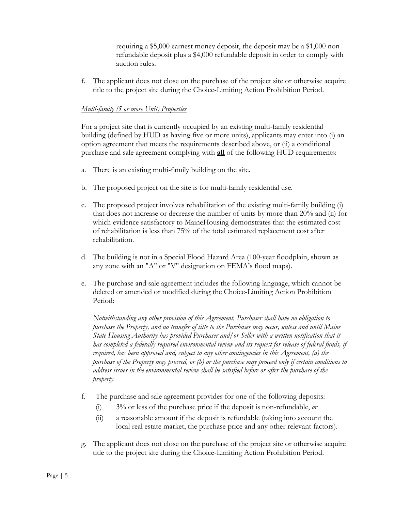requiring a \$5,000 earnest money deposit, the deposit may be a \$1,000 nonrefundable deposit plus a \$4,000 refundable deposit in order to comply with auction rules.

f. The applicant does not close on the purchase of the project site or otherwise acquire title to the project site during the Choice-Limiting Action Prohibition Period.

## *Multi-family (5 or more Unit) Properties*

For a project site that is currently occupied by an existing multi-family residential building (defined by HUD as having five or more units), applicants may enter into (i) an option agreement that meets the requirements described above, or (ii) a conditional purchase and sale agreement complying with **all** of the following HUD requirements:

- a. There is an existing multi-family building on the site.
- b. The proposed project on the site is for multi-family residential use.
- c. The proposed project involves rehabilitation of the existing multi-family building (i) that does not increase or decrease the number of units by more than 20% and (ii) for which evidence satisfactory to MaineHousing demonstrates that the estimated cost of rehabilitation is less than 75% of the total estimated replacement cost after rehabilitation.
- d. The building is not in a Special Flood Hazard Area (100-year floodplain, shown as any zone with an "A" or "V" designation on FEMA's flood maps).
- e. The purchase and sale agreement includes the following language, which cannot be deleted or amended or modified during the Choice-Limiting Action Prohibition Period:

 *Notwithstanding any other provision of this Agreement, Purchaser shall have no obligation to purchase the Property, and no transfer of title to the Purchaser may occur, unless and until Maine State Housing Authority has provided Purchaser and/or Seller with a written notification that it has completed a federally required environmental review and its request for release of federal funds, if required, has been approved and, subject to any other contingencies in this Agreement, (a) the purchase of the Property may proceed, or (b) or the purchase may proceed only if certain conditions to address issues in the environmental review shall be satisfied before or after the purchase of the property.*

- f. The purchase and sale agreement provides for one of the following deposits:
	- (i) 3% or less of the purchase price if the deposit is non-refundable, *or*
	- (ii) a reasonable amount if the deposit is refundable (taking into account the local real estate market, the purchase price and any other relevant factors).
- g. The applicant does not close on the purchase of the project site or otherwise acquire title to the project site during the Choice-Limiting Action Prohibition Period.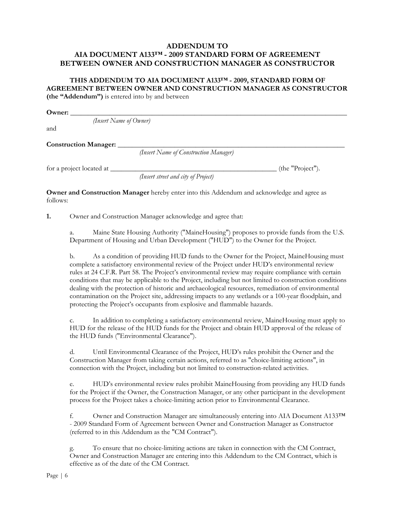## **ADDENDUM TO AIA DOCUMENT A133™ - 2009 STANDARD FORM OF AGREEMENT BETWEEN OWNER AND CONSTRUCTION MANAGER AS CONSTRUCTOR**

#### **THIS ADDENDUM TO AIA DOCUMENT A133™ - 2009, STANDARD FORM OF AGREEMENT BETWEEN OWNER AND CONSTRUCTION MANAGER AS CONSTRUCTOR (the "Addendum")** is entered into by and between

**Owner:** \_\_\_\_\_\_\_\_\_\_\_\_\_\_\_\_\_\_\_\_\_\_\_\_\_\_\_\_\_\_\_\_\_\_\_\_\_\_\_\_\_\_\_\_\_\_\_\_\_\_\_\_\_\_\_\_\_\_\_\_\_\_\_\_\_\_\_\_\_\_\_\_\_\_\_\_\_\_

*(Insert Name of Owner)* 

and

Construction Manager:

*(Insert Name of Construction Manager)*

for a project located at \_\_\_\_\_\_\_\_\_\_\_\_\_\_\_\_\_\_\_\_\_\_\_\_\_\_\_\_\_\_\_\_\_\_\_\_\_\_\_\_\_\_\_\_\_\_\_ (the "Project").

*(Insert street and city of Project)*

**Owner and Construction Manager** hereby enter into this Addendum and acknowledge and agree as follows:

**1.** Owner and Construction Manager acknowledge and agree that:

a. Maine State Housing Authority ("MaineHousing") proposes to provide funds from the U.S. Department of Housing and Urban Development ("HUD") to the Owner for the Project.

b. As a condition of providing HUD funds to the Owner for the Project, MaineHousing must complete a satisfactory environmental review of the Project under HUD's environmental review rules at 24 C.F.R. Part 58. The Project's environmental review may require compliance with certain conditions that may be applicable to the Project, including but not limited to construction conditions dealing with the protection of historic and archaeological resources, remediation of environmental contamination on the Project site, addressing impacts to any wetlands or a 100-year floodplain, and protecting the Project's occupants from explosive and flammable hazards.

c. In addition to completing a satisfactory environmental review, MaineHousing must apply to HUD for the release of the HUD funds for the Project and obtain HUD approval of the release of the HUD funds ("Environmental Clearance").

d. Until Environmental Clearance of the Project, HUD's rules prohibit the Owner and the Construction Manager from taking certain actions, referred to as "choice-limiting actions", in connection with the Project, including but not limited to construction-related activities.

e. HUD's environmental review rules prohibit MaineHousing from providing any HUD funds for the Project if the Owner, the Construction Manager, or any other participant in the development process for the Project takes a choice-limiting action prior to Environmental Clearance.

f. Owner and Construction Manager are simultaneously entering into AIA Document A133™ - 2009 Standard Form of Agreement between Owner and Construction Manager as Constructor (referred to in this Addendum as the "CM Contract").

g. To ensure that no choice-limiting actions are taken in connection with the CM Contract, Owner and Construction Manager are entering into this Addendum to the CM Contract, which is effective as of the date of the CM Contract.